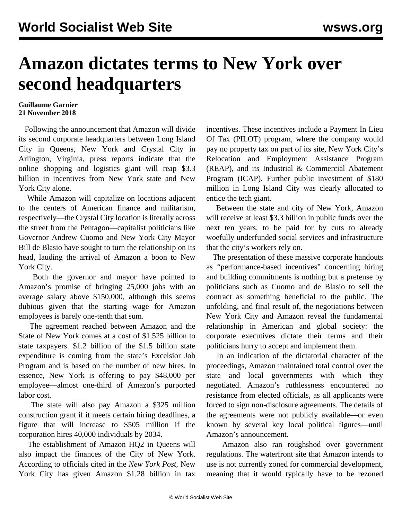## **Amazon dictates terms to New York over second headquarters**

## **Guillaume Garnier 21 November 2018**

 Following the announcement that Amazon will divide its second corporate headquarters between Long Island City in Queens, New York and Crystal City in Arlington, Virginia, press reports indicate that the online shopping and logistics giant will reap \$3.3 billion in incentives from New York state and New York City alone.

 While Amazon will capitalize on locations adjacent to the centers of American finance and militarism, respectively—the Crystal City location is literally across the street from the Pentagon—capitalist politicians like Governor Andrew Cuomo and New York City Mayor Bill de Blasio have sought to turn the relationship on its head, lauding the arrival of Amazon a boon to New York City.

 Both the governor and mayor have pointed to Amazon's promise of bringing 25,000 jobs with an average salary above \$150,000, although this seems dubious given that the starting wage for Amazon employees is barely one-tenth that sum.

 The agreement reached between Amazon and the State of New York comes at a cost of \$1.525 billion to state taxpayers. \$1.2 billion of the \$1.5 billion state expenditure is coming from the state's Excelsior Job Program and is based on the number of new hires. In essence, New York is offering to pay \$48,000 per employee—almost one-third of Amazon's purported labor cost.

 The state will also pay Amazon a \$325 million construction grant if it meets certain hiring deadlines, a figure that will increase to \$505 million if the corporation hires 40,000 individuals by 2034.

 The establishment of Amazon HQ2 in Queens will also impact the finances of the City of New York. According to officials cited in the *New York Post*, New York City has given Amazon \$1.28 billion in tax

incentives. These incentives include a Payment In Lieu Of Tax (PILOT) program, where the company would pay no property tax on part of its site, New York City's Relocation and Employment Assistance Program (REAP), and its Industrial & Commercial Abatement Program (ICAP). Further public investment of \$180 million in Long Island City was clearly allocated to entice the tech giant.

 Between the state and city of New York, Amazon will receive at least \$3.3 billion in public funds over the next ten years, to be paid for by cuts to already woefully underfunded social services and infrastructure that the city's workers rely on.

 The presentation of these massive corporate handouts as "performance-based incentives" concerning hiring and building commitments is nothing but a pretense by politicians such as Cuomo and de Blasio to sell the contract as something beneficial to the public. The unfolding, and final result of, the negotiations between New York City and Amazon reveal the fundamental relationship in American and global society: the corporate executives dictate their terms and their politicians hurry to accept and implement them.

 In an indication of the dictatorial character of the proceedings, Amazon maintained total control over the state and local governments with which they negotiated. Amazon's ruthlessness encountered no resistance from elected officials, as all applicants were forced to sign non-disclosure agreements. The details of the agreements were not publicly available—or even known by several key local political figures—until Amazon's announcement.

 Amazon also ran roughshod over government regulations. The waterfront site that Amazon intends to use is not currently zoned for commercial development, meaning that it would typically have to be rezoned